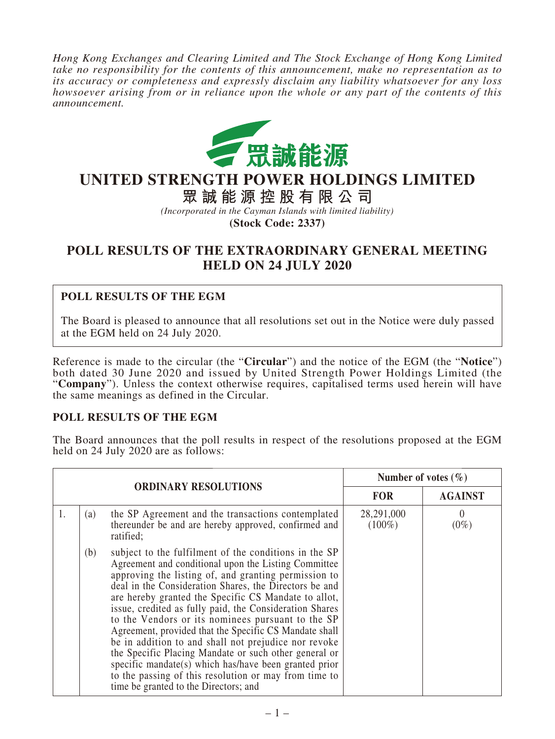*Hong Kong Exchanges and Clearing Limited and The Stock Exchange of Hong Kong Limited take no responsibility for the contents of this announcement, make no representation as to its accuracy or completeness and expressly disclaim any liability whatsoever for any loss howsoever arising from or in reliance upon the whole or any part of the contents of this announcement.*



## **UNITED STRENGTH POWER HOLDINGS LIMITED**

**眾誠能源控股有限公司**

*(Incorporated in the Cayman Islands with limited liability)*

**(Stock Code: 2337)**

## **POLL RESULTS OF THE EXTRAORDINARY GENERAL MEETING HELD ON 24 JULY 2020**

## **POLL RESULTS OF THE EGM**

The Board is pleased to announce that all resolutions set out in the Notice were duly passed at the EGM held on 24 July 2020.

Reference is made to the circular (the "**Circular**") and the notice of the EGM (the "**Notice**") both dated 30 June 2020 and issued by United Strength Power Holdings Limited (the "**Company**"). Unless the context otherwise requires, capitalised terms used herein will have the same meanings as defined in the Circular.

## **POLL RESULTS OF THE EGM**

The Board announces that the poll results in respect of the resolutions proposed at the EGM held on 24 July 2020 are as follows:

| <b>ORDINARY RESOLUTIONS</b> |     |                                                                                                                                                                                                                                                                                                                                                                                                                                                                                                                                                                                                                                                                                                                                               | Number of votes $(\% )$ |                             |
|-----------------------------|-----|-----------------------------------------------------------------------------------------------------------------------------------------------------------------------------------------------------------------------------------------------------------------------------------------------------------------------------------------------------------------------------------------------------------------------------------------------------------------------------------------------------------------------------------------------------------------------------------------------------------------------------------------------------------------------------------------------------------------------------------------------|-------------------------|-----------------------------|
|                             |     |                                                                                                                                                                                                                                                                                                                                                                                                                                                                                                                                                                                                                                                                                                                                               | <b>FOR</b>              | <b>AGAINST</b>              |
| 1.                          | (a) | the SP Agreement and the transactions contemplated<br>thereunder be and are hereby approved, confirmed and<br>ratified;                                                                                                                                                                                                                                                                                                                                                                                                                                                                                                                                                                                                                       | 28,291,000<br>$(100\%)$ | $\left( \right)$<br>$(0\%)$ |
|                             | (b) | subject to the fulfilment of the conditions in the SP<br>Agreement and conditional upon the Listing Committee<br>approving the listing of, and granting permission to<br>deal in the Consideration Shares, the Directors be and<br>are hereby granted the Specific CS Mandate to allot,<br>issue, credited as fully paid, the Consideration Shares<br>to the Vendors or its nominees pursuant to the SP<br>Agreement, provided that the Specific CS Mandate shall<br>be in addition to and shall not prejudice nor revoke<br>the Specific Placing Mandate or such other general or<br>specific mandate(s) which has/have been granted prior<br>to the passing of this resolution or may from time to<br>time be granted to the Directors; and |                         |                             |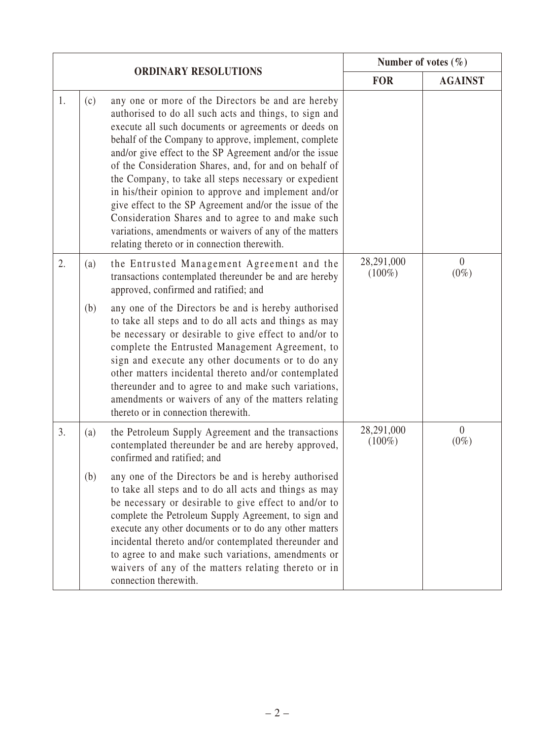|    |                             |                                                                                                                                                                                                                                                                                                                                                                                                                                                                                                                                                                                                                                                                                                 | Number of votes $(\% )$ |                           |
|----|-----------------------------|-------------------------------------------------------------------------------------------------------------------------------------------------------------------------------------------------------------------------------------------------------------------------------------------------------------------------------------------------------------------------------------------------------------------------------------------------------------------------------------------------------------------------------------------------------------------------------------------------------------------------------------------------------------------------------------------------|-------------------------|---------------------------|
|    | <b>ORDINARY RESOLUTIONS</b> |                                                                                                                                                                                                                                                                                                                                                                                                                                                                                                                                                                                                                                                                                                 | <b>FOR</b>              | <b>AGAINST</b>            |
| 1. | (c)                         | any one or more of the Directors be and are hereby<br>authorised to do all such acts and things, to sign and<br>execute all such documents or agreements or deeds on<br>behalf of the Company to approve, implement, complete<br>and/or give effect to the SP Agreement and/or the issue<br>of the Consideration Shares, and, for and on behalf of<br>the Company, to take all steps necessary or expedient<br>in his/their opinion to approve and implement and/or<br>give effect to the SP Agreement and/or the issue of the<br>Consideration Shares and to agree to and make such<br>variations, amendments or waivers of any of the matters<br>relating thereto or in connection therewith. |                         |                           |
| 2. | (a)                         | the Entrusted Management Agreement and the<br>transactions contemplated thereunder be and are hereby<br>approved, confirmed and ratified; and                                                                                                                                                                                                                                                                                                                                                                                                                                                                                                                                                   | 28,291,000<br>$(100\%)$ | $\overline{0}$<br>$(0\%)$ |
|    | (b)                         | any one of the Directors be and is hereby authorised<br>to take all steps and to do all acts and things as may<br>be necessary or desirable to give effect to and/or to<br>complete the Entrusted Management Agreement, to<br>sign and execute any other documents or to do any<br>other matters incidental thereto and/or contemplated<br>thereunder and to agree to and make such variations,<br>amendments or waivers of any of the matters relating<br>thereto or in connection therewith.                                                                                                                                                                                                  |                         |                           |
| 3. | (a)                         | the Petroleum Supply Agreement and the transactions<br>contemplated thereunder be and are hereby approved,<br>confirmed and ratified; and                                                                                                                                                                                                                                                                                                                                                                                                                                                                                                                                                       | 28,291,000<br>$(100\%)$ | $\overline{0}$<br>$(0\%)$ |
|    | (b)                         | any one of the Directors be and is hereby authorised<br>to take all steps and to do all acts and things as may<br>be necessary or desirable to give effect to and/or to<br>complete the Petroleum Supply Agreement, to sign and<br>execute any other documents or to do any other matters<br>incidental thereto and/or contemplated thereunder and<br>to agree to and make such variations, amendments or<br>waivers of any of the matters relating thereto or in<br>connection therewith.                                                                                                                                                                                                      |                         |                           |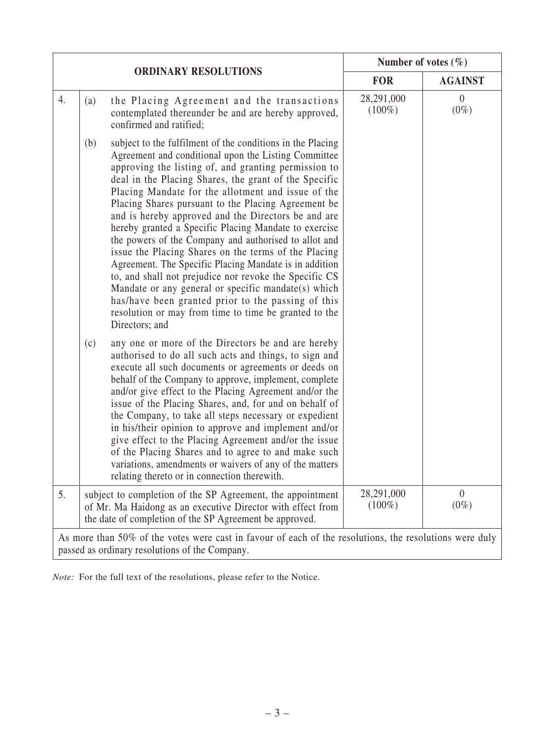|                                                                                                                                                           |                             |                                                                                                                                                                                                                                                                                                                                                                                                                                                                                                                                                                                                                                                                                                                                                                                                                                                                                               | Number of votes $(\% )$ |                           |  |  |  |
|-----------------------------------------------------------------------------------------------------------------------------------------------------------|-----------------------------|-----------------------------------------------------------------------------------------------------------------------------------------------------------------------------------------------------------------------------------------------------------------------------------------------------------------------------------------------------------------------------------------------------------------------------------------------------------------------------------------------------------------------------------------------------------------------------------------------------------------------------------------------------------------------------------------------------------------------------------------------------------------------------------------------------------------------------------------------------------------------------------------------|-------------------------|---------------------------|--|--|--|
|                                                                                                                                                           | <b>ORDINARY RESOLUTIONS</b> |                                                                                                                                                                                                                                                                                                                                                                                                                                                                                                                                                                                                                                                                                                                                                                                                                                                                                               | <b>FOR</b>              | <b>AGAINST</b>            |  |  |  |
| 4.                                                                                                                                                        | (a)                         | the Placing Agreement and the transactions<br>contemplated thereunder be and are hereby approved,<br>confirmed and ratified;                                                                                                                                                                                                                                                                                                                                                                                                                                                                                                                                                                                                                                                                                                                                                                  | 28,291,000<br>$(100\%)$ | $\overline{0}$<br>$(0\%)$ |  |  |  |
|                                                                                                                                                           | (b)                         | subject to the fulfilment of the conditions in the Placing<br>Agreement and conditional upon the Listing Committee<br>approving the listing of, and granting permission to<br>deal in the Placing Shares, the grant of the Specific<br>Placing Mandate for the allotment and issue of the<br>Placing Shares pursuant to the Placing Agreement be<br>and is hereby approved and the Directors be and are<br>hereby granted a Specific Placing Mandate to exercise<br>the powers of the Company and authorised to allot and<br>issue the Placing Shares on the terms of the Placing<br>Agreement. The Specific Placing Mandate is in addition<br>to, and shall not prejudice nor revoke the Specific CS<br>Mandate or any general or specific mandate(s) which<br>has/have been granted prior to the passing of this<br>resolution or may from time to time be granted to the<br>Directors; and |                         |                           |  |  |  |
|                                                                                                                                                           | (c)                         | any one or more of the Directors be and are hereby<br>authorised to do all such acts and things, to sign and<br>execute all such documents or agreements or deeds on<br>behalf of the Company to approve, implement, complete<br>and/or give effect to the Placing Agreement and/or the<br>issue of the Placing Shares, and, for and on behalf of<br>the Company, to take all steps necessary or expedient<br>in his/their opinion to approve and implement and/or<br>give effect to the Placing Agreement and/or the issue<br>of the Placing Shares and to agree to and make such<br>variations, amendments or waivers of any of the matters<br>relating thereto or in connection therewith.                                                                                                                                                                                                 |                         |                           |  |  |  |
| 5.                                                                                                                                                        |                             | subject to completion of the SP Agreement, the appointment<br>of Mr. Ma Haidong as an executive Director with effect from<br>the date of completion of the SP Agreement be approved.                                                                                                                                                                                                                                                                                                                                                                                                                                                                                                                                                                                                                                                                                                          | 28,291,000<br>$(100\%)$ | $\theta$<br>$(0\%)$       |  |  |  |
| As more than 50% of the votes were cast in favour of each of the resolutions, the resolutions were duly<br>passed as ordinary resolutions of the Company. |                             |                                                                                                                                                                                                                                                                                                                                                                                                                                                                                                                                                                                                                                                                                                                                                                                                                                                                                               |                         |                           |  |  |  |

*Note:* For the full text of the resolutions, please refer to the Notice.